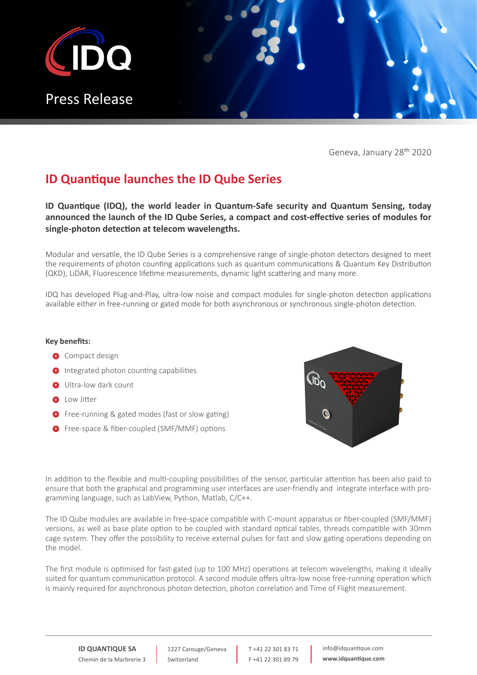

Geneva, January 28th 2020

## **ID Quantique launches the ID Qube Series**

**ID Quantique (IDQ), the world leader in Quantum-Safe security and Quantum Sensing, today announced the launch of the ID Qube Series, a compact and cost-effective series of modules for single-photon detection at telecom wavelengths.**

Modular and versatile, the ID Qube Series is a comprehensive range of single-photon detectors designed to meet the requirements of photon counting applications such as quantum communications & Quantum Key Distribution (QKD), LiDAR, Fluorescence lifetime measurements, dynamic light scattering and many more.

IDQ has developed Plug-and-Play, ultra-low noise and compact modules for single-photon detection applications available either in free-running or gated mode for both asynchronous or synchronous single-photon detection.

#### **Key benefits:**

- **+** Compact design
- $\bullet$  Integrated photon counting capabilities
- **•** Ultra-low dark count
- **1** Low Jitter
- **•** Free-running & gated modes (fast or slow gating)
- **•** Free-space & fiber-coupled (SMF/MMF) options



In addition to the flexible and multi-coupling possibilities of the sensor, particular attention has been also paid to ensure that both the graphical and programming user interfaces are user-friendly and integrate interface with programming language, such as LabView, Python, Matlab, C/C++.

The ID Qube modules are available in free-space compatible with C-mount apparatus or fiber-coupled (SMF/MMF) versions, as well as base plate option to be coupled with standard optical tables, threads compatible with 30mm cage system. They offer the possibility to receive external pulses for fast and slow gating operations depending on the model.

The first module is optimised for fast-gated (up to 100 MHz) operations at telecom wavelengths, making it ideally suited for quantum communication protocol. A second module offers ultra-low noise free-running operation which is mainly required for asynchronous photon detection, photon correlation and Time of Flight measurement.

**ID QUANTIQUE SA** Chemin de la Marbrerie 3

1227 Carouge/Geneva Switzerland

T +41 22 301 83 71 F +41 22 301 89 79 info@idquantique.com **www.idquantique.com**